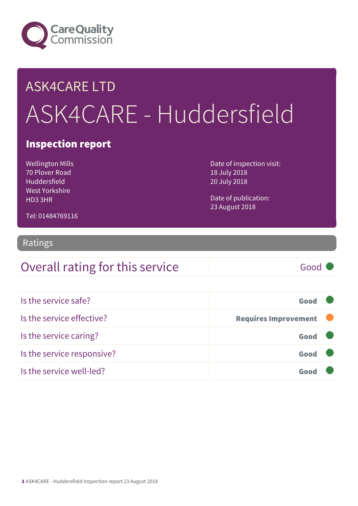

# ASK4CARE LTD ASK4CARE - Huddersfield

#### Inspection report

Wellington Mills 70 Plover Road Huddersfield West Yorkshire HD3 3HR

Date of inspection visit: 18 July 2018 20 July 2018

Date of publication: 23 August 2018

Tel: 01484769116

#### Ratings

#### Overall rating for this service Good

| Is the service safe?       | Good                        |  |
|----------------------------|-----------------------------|--|
| Is the service effective?  | <b>Requires Improvement</b> |  |
| Is the service caring?     | Good                        |  |
| Is the service responsive? | Good                        |  |
| Is the service well-led?   |                             |  |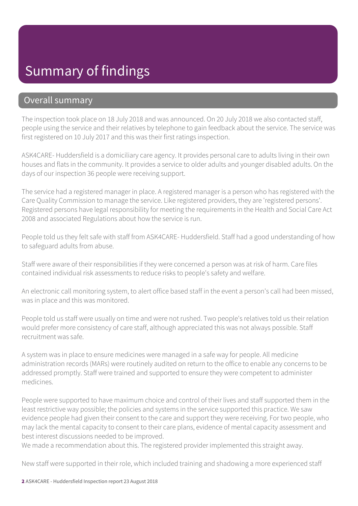#### Summary of findings

#### Overall summary

The inspection took place on 18 July 2018 and was announced. On 20 July 2018 we also contacted staff, people using the service and their relatives by telephone to gain feedback about the service. The service was first registered on 10 July 2017 and this was their first ratings inspection.

ASK4CARE- Huddersfield is a domiciliary care agency. It provides personal care to adults living in their own houses and flats in the community. It provides a service to older adults and younger disabled adults. On the days of our inspection 36 people were receiving support.

The service had a registered manager in place. A registered manager is a person who has registered with the Care Quality Commission to manage the service. Like registered providers, they are 'registered persons'. Registered persons have legal responsibility for meeting the requirements in the Health and Social Care Act 2008 and associated Regulations about how the service is run.

People told us they felt safe with staff from ASK4CARE- Huddersfield. Staff had a good understanding of how to safeguard adults from abuse.

Staff were aware of their responsibilities if they were concerned a person was at risk of harm. Care files contained individual risk assessments to reduce risks to people's safety and welfare.

An electronic call monitoring system, to alert office based staff in the event a person's call had been missed, was in place and this was monitored.

People told us staff were usually on time and were not rushed. Two people's relatives told us their relation would prefer more consistency of care staff, although appreciated this was not always possible. Staff recruitment was safe.

A system was in place to ensure medicines were managed in a safe way for people. All medicine administration records (MARs) were routinely audited on return to the office to enable any concerns to be addressed promptly. Staff were trained and supported to ensure they were competent to administer medicines.

People were supported to have maximum choice and control of their lives and staff supported them in the least restrictive way possible; the policies and systems in the service supported this practice. We saw evidence people had given their consent to the care and support they were receiving. For two people, who may lack the mental capacity to consent to their care plans, evidence of mental capacity assessment and best interest discussions needed to be improved.

We made a recommendation about this. The registered provider implemented this straight away.

New staff were supported in their role, which included training and shadowing a more experienced staff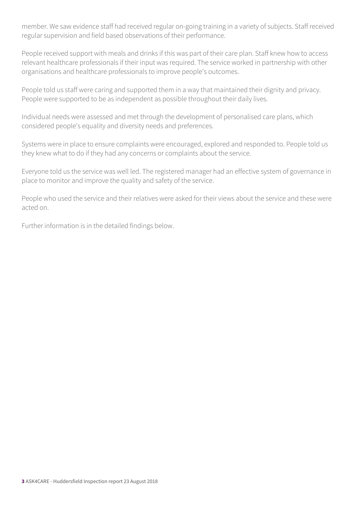member. We saw evidence staff had received regular on-going training in a variety of subjects. Staff received regular supervision and field based observations of their performance.

People received support with meals and drinks if this was part of their care plan. Staff knew how to access relevant healthcare professionals if their input was required. The service worked in partnership with other organisations and healthcare professionals to improve people's outcomes.

People told us staff were caring and supported them in a way that maintained their dignity and privacy. People were supported to be as independent as possible throughout their daily lives.

Individual needs were assessed and met through the development of personalised care plans, which considered people's equality and diversity needs and preferences.

Systems were in place to ensure complaints were encouraged, explored and responded to. People told us they knew what to do if they had any concerns or complaints about the service.

Everyone told us the service was well led. The registered manager had an effective system of governance in place to monitor and improve the quality and safety of the service.

People who used the service and their relatives were asked for their views about the service and these were acted on.

Further information is in the detailed findings below.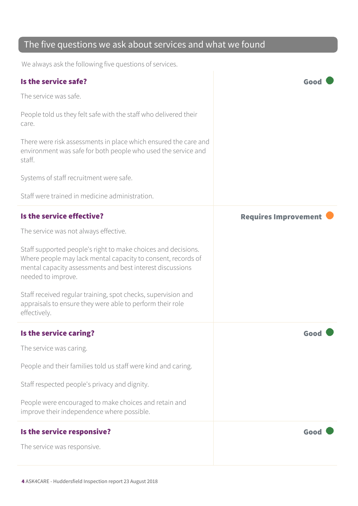#### The five questions we ask about services and what we found

We always ask the following five questions of services.

| Is the service safe?                                                                                                                                                                                             | Goc                         |
|------------------------------------------------------------------------------------------------------------------------------------------------------------------------------------------------------------------|-----------------------------|
| The service was safe.                                                                                                                                                                                            |                             |
| People told us they felt safe with the staff who delivered their<br>care.                                                                                                                                        |                             |
| There were risk assessments in place which ensured the care and<br>environment was safe for both people who used the service and<br>staff.                                                                       |                             |
| Systems of staff recruitment were safe.                                                                                                                                                                          |                             |
| Staff were trained in medicine administration.                                                                                                                                                                   |                             |
| Is the service effective?                                                                                                                                                                                        | <b>Requires Improvement</b> |
| The service was not always effective.                                                                                                                                                                            |                             |
| Staff supported people's right to make choices and decisions.<br>Where people may lack mental capacity to consent, records of<br>mental capacity assessments and best interest discussions<br>needed to improve. |                             |
| Staff received regular training, spot checks, supervision and<br>appraisals to ensure they were able to perform their role<br>effectively.                                                                       |                             |
| Is the service caring?                                                                                                                                                                                           | Goo                         |
| The service was caring.                                                                                                                                                                                          |                             |
| People and their families told us staff were kind and caring.                                                                                                                                                    |                             |
| Staff respected people's privacy and dignity.                                                                                                                                                                    |                             |
| People were encouraged to make choices and retain and<br>improve their independence where possible.                                                                                                              |                             |
| Is the service responsive?                                                                                                                                                                                       | Good                        |
| The service was responsive.                                                                                                                                                                                      |                             |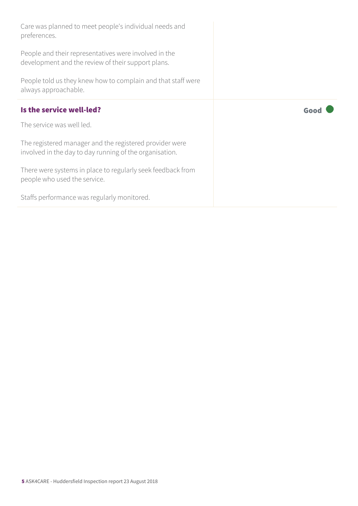| Care was planned to meet people's individual needs and<br>preferences.                                             |      |
|--------------------------------------------------------------------------------------------------------------------|------|
| People and their representatives were involved in the<br>development and the review of their support plans.        |      |
| People told us they knew how to complain and that staff were<br>always approachable.                               |      |
| Is the service well-led?                                                                                           | Good |
| The service was well led.                                                                                          |      |
| The registered manager and the registered provider were<br>involved in the day to day running of the organisation. |      |
| There were systems in place to regularly seek feedback from<br>people who used the service.                        |      |
| Staffs performance was regularly monitored.                                                                        |      |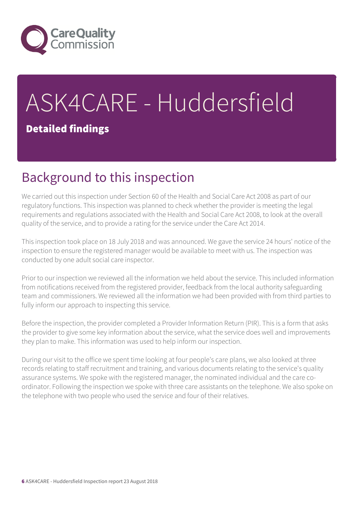

# ASK4CARE - Huddersfield

#### Detailed findings

# Background to this inspection

We carried out this inspection under Section 60 of the Health and Social Care Act 2008 as part of our regulatory functions. This inspection was planned to check whether the provider is meeting the legal requirements and regulations associated with the Health and Social Care Act 2008, to look at the overall quality of the service, and to provide a rating for the service under the Care Act 2014.

This inspection took place on 18 July 2018 and was announced. We gave the service 24 hours' notice of the inspection to ensure the registered manager would be available to meet with us. The inspection was conducted by one adult social care inspector.

Prior to our inspection we reviewed all the information we held about the service. This included information from notifications received from the registered provider, feedback from the local authority safeguarding team and commissioners. We reviewed all the information we had been provided with from third parties to fully inform our approach to inspecting this service.

Before the inspection, the provider completed a Provider Information Return (PIR). This is a form that asks the provider to give some key information about the service, what the service does well and improvements they plan to make. This information was used to help inform our inspection.

During our visit to the office we spent time looking at four people's care plans, we also looked at three records relating to staff recruitment and training, and various documents relating to the service's quality assurance systems. We spoke with the registered manager, the nominated individual and the care coordinator. Following the inspection we spoke with three care assistants on the telephone. We also spoke on the telephone with two people who used the service and four of their relatives.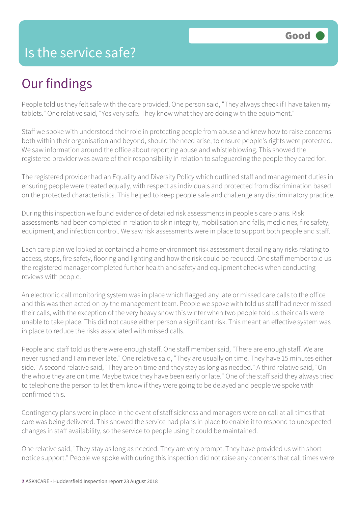#### Is the service safe?

# Our findings

People told us they felt safe with the care provided. One person said, "They always check if I have taken my tablets." One relative said, "Yes very safe. They know what they are doing with the equipment."

Staff we spoke with understood their role in protecting people from abuse and knew how to raise concerns both within their organisation and beyond, should the need arise, to ensure people's rights were protected. We saw information around the office about reporting abuse and whistleblowing. This showed the registered provider was aware of their responsibility in relation to safeguarding the people they cared for.

The registered provider had an Equality and Diversity Policy which outlined staff and management duties in ensuring people were treated equally, with respect as individuals and protected from discrimination based on the protected characteristics. This helped to keep people safe and challenge any discriminatory practice.

During this inspection we found evidence of detailed risk assessments in people's care plans. Risk assessments had been completed in relation to skin integrity, mobilisation and falls, medicines, fire safety, equipment, and infection control. We saw risk assessments were in place to support both people and staff.

Each care plan we looked at contained a home environment risk assessment detailing any risks relating to access, steps, fire safety, flooring and lighting and how the risk could be reduced. One staff member told us the registered manager completed further health and safety and equipment checks when conducting reviews with people.

An electronic call monitoring system was in place which flagged any late or missed care calls to the office and this was then acted on by the management team. People we spoke with told us staff had never missed their calls, with the exception of the very heavy snow this winter when two people told us their calls were unable to take place. This did not cause either person a significant risk. This meant an effective system was in place to reduce the risks associated with missed calls.

People and staff told us there were enough staff. One staff member said, "There are enough staff. We are never rushed and I am never late." One relative said, "They are usually on time. They have 15 minutes either side." A second relative said, "They are on time and they stay as long as needed." A third relative said, "On the whole they are on time. Maybe twice they have been early or late." One of the staff said they always tried to telephone the person to let them know if they were going to be delayed and people we spoke with confirmed this.

Contingency plans were in place in the event of staff sickness and managers were on call at all times that care was being delivered. This showed the service had plans in place to enable it to respond to unexpected changes in staff availability, so the service to people using it could be maintained.

One relative said, "They stay as long as needed. They are very prompt. They have provided us with short notice support." People we spoke with during this inspection did not raise any concerns that call times were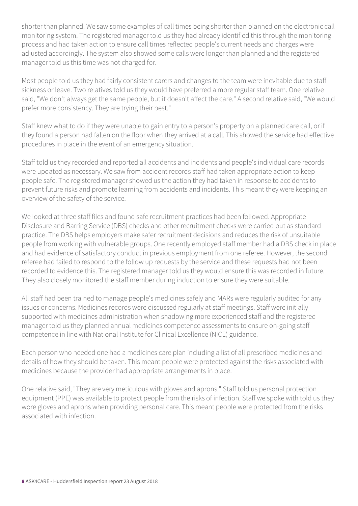shorter than planned. We saw some examples of call times being shorter than planned on the electronic call monitoring system. The registered manager told us they had already identified this through the monitoring process and had taken action to ensure call times reflected people's current needs and charges were adjusted accordingly. The system also showed some calls were longer than planned and the registered manager told us this time was not charged for.

Most people told us they had fairly consistent carers and changes to the team were inevitable due to staff sickness or leave. Two relatives told us they would have preferred a more regular staff team. One relative said, "We don't always get the same people, but it doesn't affect the care." A second relative said, "We would prefer more consistency. They are trying their best."

Staff knew what to do if they were unable to gain entry to a person's property on a planned care call, or if they found a person had fallen on the floor when they arrived at a call. This showed the service had effective procedures in place in the event of an emergency situation.

Staff told us they recorded and reported all accidents and incidents and people's individual care records were updated as necessary. We saw from accident records staff had taken appropriate action to keep people safe. The registered manager showed us the action they had taken in response to accidents to prevent future risks and promote learning from accidents and incidents. This meant they were keeping an overview of the safety of the service.

We looked at three staff files and found safe recruitment practices had been followed. Appropriate Disclosure and Barring Service (DBS) checks and other recruitment checks were carried out as standard practice. The DBS helps employers make safer recruitment decisions and reduces the risk of unsuitable people from working with vulnerable groups. One recently employed staff member had a DBS check in place and had evidence of satisfactory conduct in previous employment from one referee. However, the second referee had failed to respond to the follow up requests by the service and these requests had not been recorded to evidence this. The registered manager told us they would ensure this was recorded in future. They also closely monitored the staff member during induction to ensure they were suitable.

All staff had been trained to manage people's medicines safely and MARs were regularly audited for any issues or concerns. Medicines records were discussed regularly at staff meetings. Staff were initially supported with medicines administration when shadowing more experienced staff and the registered manager told us they planned annual medicines competence assessments to ensure on-going staff competence in line with National Institute for Clinical Excellence (NICE) guidance.

Each person who needed one had a medicines care plan including a list of all prescribed medicines and details of how they should be taken. This meant people were protected against the risks associated with medicines because the provider had appropriate arrangements in place.

One relative said, "They are very meticulous with gloves and aprons." Staff told us personal protection equipment (PPE) was available to protect people from the risks of infection. Staff we spoke with told us they wore gloves and aprons when providing personal care. This meant people were protected from the risks associated with infection.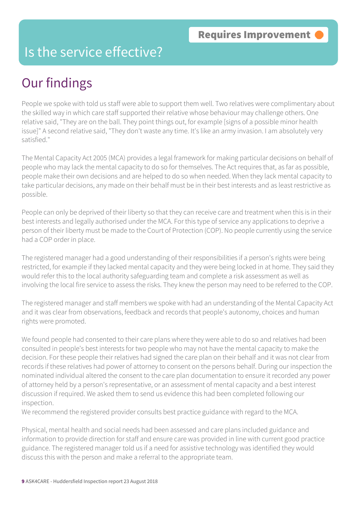#### Is the service effective?

# Our findings

People we spoke with told us staff were able to support them well. Two relatives were complimentary about the skilled way in which care staff supported their relative whose behaviour may challenge others. One relative said, "They are on the ball. They point things out, for example [signs of a possible minor health issue]" A second relative said, "They don't waste any time. It's like an army invasion. I am absolutely very satisfied."

The Mental Capacity Act 2005 (MCA) provides a legal framework for making particular decisions on behalf of people who may lack the mental capacity to do so for themselves. The Act requires that, as far as possible, people make their own decisions and are helped to do so when needed. When they lack mental capacity to take particular decisions, any made on their behalf must be in their best interests and as least restrictive as possible.

People can only be deprived of their liberty so that they can receive care and treatment when this is in their best interests and legally authorised under the MCA. For this type of service any applications to deprive a person of their liberty must be made to the Court of Protection (COP). No people currently using the service had a COP order in place.

The registered manager had a good understanding of their responsibilities if a person's rights were being restricted, for example if they lacked mental capacity and they were being locked in at home. They said they would refer this to the local authority safeguarding team and complete a risk assessment as well as involving the local fire service to assess the risks. They knew the person may need to be referred to the COP.

The registered manager and staff members we spoke with had an understanding of the Mental Capacity Act and it was clear from observations, feedback and records that people's autonomy, choices and human rights were promoted.

We found people had consented to their care plans where they were able to do so and relatives had been consulted in people's best interests for two people who may not have the mental capacity to make the decision. For these people their relatives had signed the care plan on their behalf and it was not clear from records if these relatives had power of attorney to consent on the persons behalf. During our inspection the nominated individual altered the consent to the care plan documentation to ensure it recorded any power of attorney held by a person's representative, or an assessment of mental capacity and a best interest discussion if required. We asked them to send us evidence this had been completed following our inspection.

We recommend the registered provider consults best practice guidance with regard to the MCA.

Physical, mental health and social needs had been assessed and care plans included guidance and information to provide direction for staff and ensure care was provided in line with current good practice guidance. The registered manager told us if a need for assistive technology was identified they would discuss this with the person and make a referral to the appropriate team.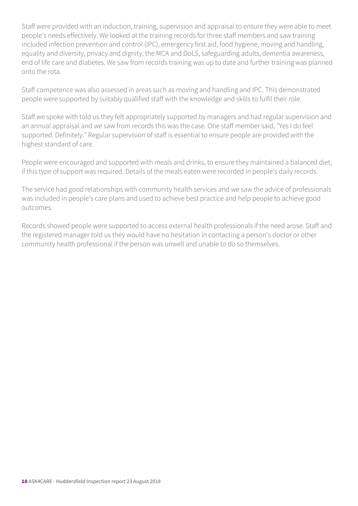Staff were provided with an induction, training, supervision and appraisal to ensure they were able to meet people's needs effectively. We looked at the training records for three staff members and saw training included infection prevention and control (IPC), emergency first aid, food hygiene, moving and handling, equality and diversity, privacy and dignity, the MCA and DoLS, safeguarding adults, dementia awareness, end of life care and diabetes. We saw from records training was up to date and further training was planned onto the rota.

Staff competence was also assessed in areas such as moving and handling and IPC. This demonstrated people were supported by suitably qualified staff with the knowledge and skills to fulfil their role.

Staff we spoke with told us they felt appropriately supported by managers and had regular supervision and an annual appraisal and we saw from records this was the case. One staff member said, "Yes I do feel supported. Definitely." Regular supervision of staff is essential to ensure people are provided with the highest standard of care.

People were encouraged and supported with meals and drinks, to ensure they maintained a balanced diet, if this type of support was required. Details of the meals eaten were recorded in people's daily records.

The service had good relationships with community health services and we saw the advice of professionals was included in people's care plans and used to achieve best practice and help people to achieve good outcomes.

Records showed people were supported to access external health professionals if the need arose. Staff and the registered manager told us they would have no hesitation in contacting a person's doctor or other community health professional if the person was unwell and unable to do so themselves.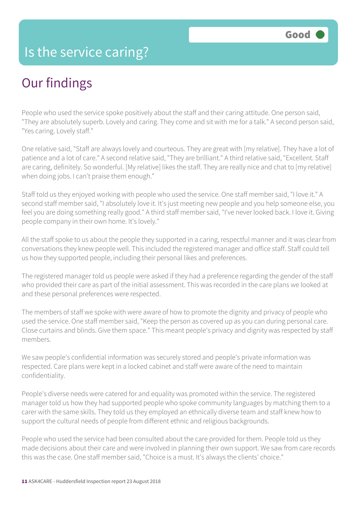# Our findings

People who used the service spoke positively about the staff and their caring attitude. One person said, "They are absolutely superb. Lovely and caring. They come and sit with me for a talk." A second person said, "Yes caring. Lovely staff."

One relative said, "Staff are always lovely and courteous. They are great with [my relative]. They have a lot of patience and a lot of care." A second relative said, "They are brilliant." A third relative said, "Excellent. Staff are caring, definitely. So wonderful. [My relative] likes the staff. They are really nice and chat to [my relative] when doing jobs. I can't praise them enough."

Staff told us they enjoyed working with people who used the service. One staff member said, "I love it." A second staff member said, "I absolutely love it. It's just meeting new people and you help someone else, you feel you are doing something really good." A third staff member said, "I've never looked back. I love it. Giving people company in their own home. It's lovely."

All the staff spoke to us about the people they supported in a caring, respectful manner and it was clear from conversations they knew people well. This included the registered manager and office staff. Staff could tell us how they supported people, including their personal likes and preferences.

The registered manager told us people were asked if they had a preference regarding the gender of the staff who provided their care as part of the initial assessment. This was recorded in the care plans we looked at and these personal preferences were respected.

The members of staff we spoke with were aware of how to promote the dignity and privacy of people who used the service. One staff member said, "Keep the person as covered up as you can during personal care. Close curtains and blinds. Give them space." This meant people's privacy and dignity was respected by staff members.

We saw people's confidential information was securely stored and people's private information was respected. Care plans were kept in a locked cabinet and staff were aware of the need to maintain confidentiality.

People's diverse needs were catered for and equality was promoted within the service. The registered manager told us how they had supported people who spoke community languages by matching them to a carer with the same skills. They told us they employed an ethnically diverse team and staff knew how to support the cultural needs of people from different ethnic and religious backgrounds.

People who used the service had been consulted about the care provided for them. People told us they made decisions about their care and were involved in planning their own support. We saw from care records this was the case. One staff member said, "Choice is a must. It's always the clients' choice."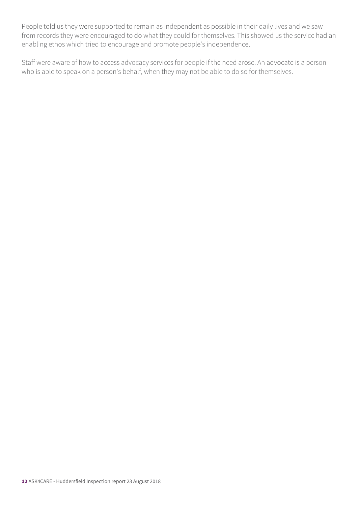People told us they were supported to remain as independent as possible in their daily lives and we saw from records they were encouraged to do what they could for themselves. This showed us the service had an enabling ethos which tried to encourage and promote people's independence.

Staff were aware of how to access advocacy services for people if the need arose. An advocate is a person who is able to speak on a person's behalf, when they may not be able to do so for themselves.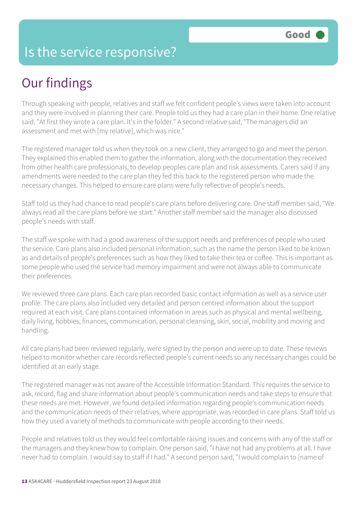#### Is the service responsive?

# Our findings

Through speaking with people, relatives and staff we felt confident people's views were taken into account and they were involved in planning their care. People told us they had a care plan in their home. One relative said, "At first they wrote a care plan. It's in the folder." A second relative said, "The managers did an assessment and met with [my relative], which was nice."

The registered manager told us when they took on a new client, they arranged to go and meet the person. They explained this enabled them to gather the information, along with the documentation they received from other health care professionals, to develop peoples care plan and risk assessments. Carers said if any amendments were needed to the care plan they fed this back to the registered person who made the necessary changes. This helped to ensure care plans were fully reflective of people's needs.

Staff told us they had chance to read people's care plans before delivering care. One staff member said, "We always read all the care plans before we start." Another staff member said the manager also discussed people's needs with staff.

The staff we spoke with had a good awareness of the support needs and preferences of people who used the service. Care plans also included personal information, such as the name the person liked to be known as and details of people's preferences such as how they liked to take their tea or coffee. This is important as some people who used the service had memory impairment and were not always able to communicate their preferences.

We reviewed three care plans. Each care plan recorded basic contact information as well as a service user profile. The care plans also included very detailed and person centred information about the support required at each visit. Care plans contained information in areas such as physical and mental wellbeing, daily living, hobbies, finances, communication, personal cleansing, skin, social, mobility and moving and handling.

All care plans had been reviewed regularly, were signed by the person and were up to date. These reviews helped to monitor whether care records reflected people's current needs so any necessary changes could be identified at an early stage.

The registered manager was not aware of the Accessible Information Standard. This requires the service to ask, record, flag and share information about people's communication needs and take steps to ensure that these needs are met. However, we found detailed information regarding people's communication needs and the communication needs of their relatives, where appropriate, was recorded in care plans. Staff told us how they used a variety of methods to communicate with people according to their needs.

People and relatives told us they would feel comfortable raising issues and concerns with any of the staff or the managers and they knew how to complain. One person said, "I have not had any problems at all. I have never had to complain. I would say to staff if I had." A second person said, "I would complain to [name of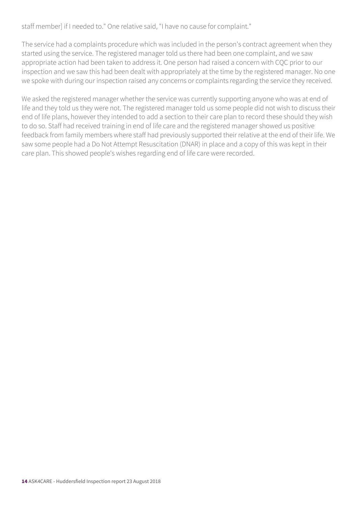staff member] if I needed to." One relative said, "I have no cause for complaint."

The service had a complaints procedure which was included in the person's contract agreement when they started using the service. The registered manager told us there had been one complaint, and we saw appropriate action had been taken to address it. One person had raised a concern with CQC prior to our inspection and we saw this had been dealt with appropriately at the time by the registered manager. No one we spoke with during our inspection raised any concerns or complaints regarding the service they received.

We asked the registered manager whether the service was currently supporting anyone who was at end of life and they told us they were not. The registered manager told us some people did not wish to discuss their end of life plans, however they intended to add a section to their care plan to record these should they wish to do so. Staff had received training in end of life care and the registered manager showed us positive feedback from family members where staff had previously supported their relative at the end of their life. We saw some people had a Do Not Attempt Resuscitation (DNAR) in place and a copy of this was kept in their care plan. This showed people's wishes regarding end of life care were recorded.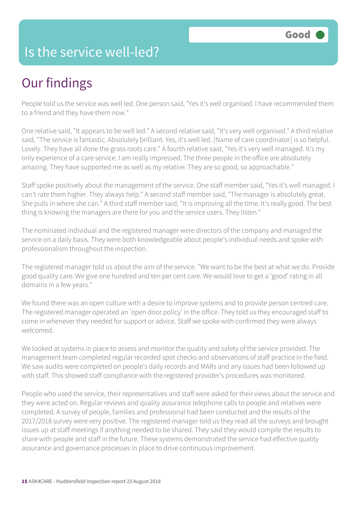#### Is the service well-led?

# Our findings

People told us the service was well led. One person said, "Yes it's well organised. I have recommended them to a friend and they have them now."

One relative said, "It appears to be well led." A second relative said, "It's very well organised." A third relative said, "The service is fantastic. Absolutely brilliant. Yes, it's well led. [Name of care coordinator] is so helpful. Lovely. They have all done the grass roots care." A fourth relative said, "Yes it's very well managed. It's my only experience of a care service. I am really impressed. The three people in the office are absolutely amazing. They have supported me as well as my relative. They are so good, so approachable."

Staff spoke positively about the management of the service. One staff member said, "Yes it's well managed. I can't rate them higher. They always help." A second staff member said, "The manager is absolutely great. She pulls in where she can." A third staff member said, "It is improving all the time. It's really good. The best thing is knowing the managers are there for you and the service users. They listen."

The nominated individual and the registered manager were directors of the company and managed the service on a daily basis. They were both knowledgeable about people's individual needs and spoke with professionalism throughout the inspection.

The registered manager told us about the aim of the service. "We want to be the best at what we do. Provide good quality care. We give one hundred and ten per cent care. We would love to get a 'good' rating in all domains in a few years."

We found there was an open culture with a desire to improve systems and to provide person centred care. The registered manager operated an 'open door policy' in the office. They told us they encouraged staff to come in whenever they needed for support or advice. Staff we spoke with confirmed they were always welcomed.

We looked at systems in place to assess and monitor the quality and safety of the service provided. The management team completed regular recorded spot checks and observations of staff practice in the field. We saw audits were completed on people's daily records and MARs and any issues had been followed up with staff. This showed staff compliance with the registered provider's procedures was monitored.

People who used the service, their representatives and staff were asked for their views about the service and they were acted on. Regular reviews and quality assurance telephone calls to people and relatives were completed. A survey of people, families and professional had been conducted and the results of the 2017/2018 survey were very positive. The registered manager told us they read all the surveys and brought issues up at staff meetings if anything needed to be shared. They said they would compile the results to share with people and staff in the future. These systems demonstrated the service had effective quality assurance and governance processes in place to drive continuous improvement.